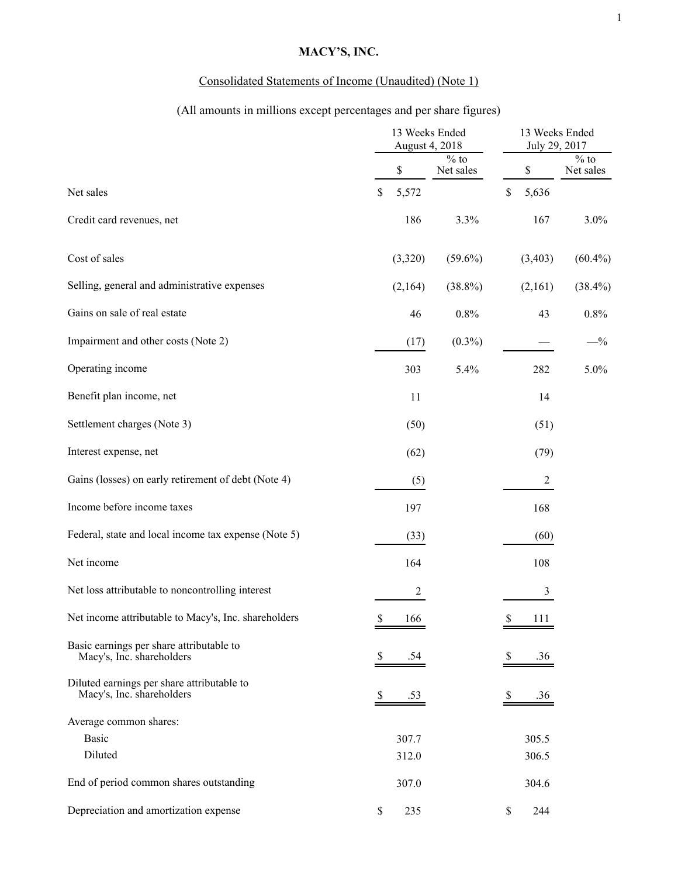# **MACY'S, INC.**

# Consolidated Statements of Income (Unaudited) (Note 1)

# (All amounts in millions except percentages and per share figures)

|                                                                         | 13 Weeks Ended<br>August 4, 2018 |            |                                      | 13 Weeks Ended<br>July 29, 2017 |                |                               |
|-------------------------------------------------------------------------|----------------------------------|------------|--------------------------------------|---------------------------------|----------------|-------------------------------|
|                                                                         |                                  | \$         | $\frac{1}{\sqrt{6}}$ to<br>Net sales | \$                              |                | $\frac{9}{6}$ to<br>Net sales |
| Net sales                                                               | \$                               | 5,572      |                                      | \$<br>5,636                     |                |                               |
| Credit card revenues, net                                               |                                  | 186        | 3.3%                                 |                                 | 167            | $3.0\%$                       |
| Cost of sales                                                           |                                  | (3,320)    | $(59.6\%)$                           | (3, 403)                        |                | $(60.4\%)$                    |
| Selling, general and administrative expenses                            |                                  | (2,164)    | $(38.8\%)$                           |                                 | (2,161)        | $(38.4\%)$                    |
| Gains on sale of real estate                                            |                                  | 46         | $0.8\%$                              |                                 | 43             | $0.8\%$                       |
| Impairment and other costs (Note 2)                                     |                                  | (17)       | $(0.3\%)$                            |                                 |                | $-$ %                         |
| Operating income                                                        |                                  | 303        | 5.4%                                 |                                 | 282            | 5.0%                          |
| Benefit plan income, net                                                |                                  | 11         |                                      |                                 | 14             |                               |
| Settlement charges (Note 3)                                             |                                  | (50)       |                                      |                                 | (51)           |                               |
| Interest expense, net                                                   |                                  | (62)       |                                      |                                 | (79)           |                               |
| Gains (losses) on early retirement of debt (Note 4)                     |                                  | (5)        |                                      |                                 | $\overline{c}$ |                               |
| Income before income taxes                                              |                                  | 197        |                                      |                                 | 168            |                               |
| Federal, state and local income tax expense (Note 5)                    |                                  | (33)       |                                      |                                 | (60)           |                               |
| Net income                                                              |                                  | 164        |                                      |                                 | 108            |                               |
| Net loss attributable to noncontrolling interest                        |                                  | $\sqrt{2}$ |                                      |                                 | $\mathfrak{Z}$ |                               |
| Net income attributable to Macy's, Inc. shareholders                    | \$                               | 166        |                                      | \$                              | 111            |                               |
| Basic earnings per share attributable to<br>Macy's, Inc. shareholders   | \$                               | .54        |                                      | <sup>8</sup>                    | .36            |                               |
| Diluted earnings per share attributable to<br>Macy's, Inc. shareholders | \$                               | .53        |                                      | \$                              | .36            |                               |
| Average common shares:                                                  |                                  |            |                                      |                                 |                |                               |
| <b>Basic</b>                                                            |                                  | 307.7      |                                      | 305.5                           |                |                               |
| Diluted                                                                 |                                  | 312.0      |                                      | 306.5                           |                |                               |
| End of period common shares outstanding                                 |                                  | 307.0      |                                      | 304.6                           |                |                               |
| Depreciation and amortization expense                                   | \$                               | 235        |                                      | \$                              | 244            |                               |